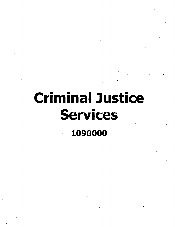# **Criminal Justice Services**

**{**

## **1090000**

I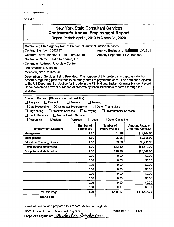$\ddot{\phantom{0}}$ 

## **FORM B**

| <b>New York State Consultant Services</b><br><b>Contractor's Annual Employment Report</b><br>Report Period: April 1, 2019 to March 31, 2020                                                                                                                                                                                                                                                                                                                                                                                                                                                                                                                                                                                                                           |                        |          |              |
|-----------------------------------------------------------------------------------------------------------------------------------------------------------------------------------------------------------------------------------------------------------------------------------------------------------------------------------------------------------------------------------------------------------------------------------------------------------------------------------------------------------------------------------------------------------------------------------------------------------------------------------------------------------------------------------------------------------------------------------------------------------------------|------------------------|----------|--------------|
| Contracting State Agency Name: Division of Criminal Justice Services<br>Agency Business Unit: [72]<br>Contract Number: C002157<br>Contract Term: 10/01/2017 to 09/30/2019<br>Agency Department ID: 1090000<br>Contractor Name: Health Research, Inc.<br><b>Contractor Address: Riverview Center</b><br>150 Broadway, Suite 560<br>Menands, NY 12204-2726<br>Description of Services Being Provided: The purpose of this project is to capture data from<br>hospitals regarding patients that involuntarily admit to psychiatric care. The data are projected<br>to the US Department of Justice for include in the FBI National Instant Criminal History Record<br>Check system to prevent purchase of firearms by those individuals reported through the<br>process. |                        |          |              |
| Scope of Contract (Choose one that best fits):<br>Analysis<br>$\sqcap$ Evaluation<br>Research<br>Training<br><b>Data Processing</b><br>⊠ Computer Programming<br>$\Box$ Other IT consulting<br>Engineering<br>Architect Services<br>$\Box$ Surveying<br>Environmental Services<br><b>Health Services</b><br>$\Box$ Mental Health Services<br>$\Box$ Auditing<br>$\Box$ Legal<br>$\Box$ Other Consulting .<br>Accounting<br>Paralegal                                                                                                                                                                                                                                                                                                                                  |                        |          |              |
| Number of .<br><b>Number of</b><br><b>Amount Payable</b><br><b>Under the Contract</b><br><b>Employees</b><br><b>Hours Worked</b><br><b>Employment Category</b>                                                                                                                                                                                                                                                                                                                                                                                                                                                                                                                                                                                                        |                        |          |              |
| Management                                                                                                                                                                                                                                                                                                                                                                                                                                                                                                                                                                                                                                                                                                                                                            | 1.00                   | 181.20   | \$19,264.00  |
| Management                                                                                                                                                                                                                                                                                                                                                                                                                                                                                                                                                                                                                                                                                                                                                            | 1.00                   | 95.25    | \$9,858.00   |
| Education, Training, Library                                                                                                                                                                                                                                                                                                                                                                                                                                                                                                                                                                                                                                                                                                                                          | 1.00                   | 89.79    | \$5,931.00   |
| <b>Computer and Mathmatical</b>                                                                                                                                                                                                                                                                                                                                                                                                                                                                                                                                                                                                                                                                                                                                       | 1.00                   | 812.60   | \$53,672.00  |
| <b>Computer and Mathmatical</b>                                                                                                                                                                                                                                                                                                                                                                                                                                                                                                                                                                                                                                                                                                                                       | 1.00                   | 276.28   | \$26,009.00  |
|                                                                                                                                                                                                                                                                                                                                                                                                                                                                                                                                                                                                                                                                                                                                                                       | 0.00                   | 0.00     | \$0.00       |
|                                                                                                                                                                                                                                                                                                                                                                                                                                                                                                                                                                                                                                                                                                                                                                       | 0.00                   | 0.00     | \$0.00       |
|                                                                                                                                                                                                                                                                                                                                                                                                                                                                                                                                                                                                                                                                                                                                                                       | 0.00                   | 0.00     | \$0.00       |
|                                                                                                                                                                                                                                                                                                                                                                                                                                                                                                                                                                                                                                                                                                                                                                       | 0.00                   | 0.00     | \$0.00       |
|                                                                                                                                                                                                                                                                                                                                                                                                                                                                                                                                                                                                                                                                                                                                                                       | 0.00                   | 0.00     | \$0.00       |
| \$0.00<br>0.00<br>0.00                                                                                                                                                                                                                                                                                                                                                                                                                                                                                                                                                                                                                                                                                                                                                |                        |          |              |
|                                                                                                                                                                                                                                                                                                                                                                                                                                                                                                                                                                                                                                                                                                                                                                       | \$0.00<br>0.00<br>0.00 |          |              |
|                                                                                                                                                                                                                                                                                                                                                                                                                                                                                                                                                                                                                                                                                                                                                                       | 0.00                   | 0.00     | \$0.00       |
| <b>Total this Page</b>                                                                                                                                                                                                                                                                                                                                                                                                                                                                                                                                                                                                                                                                                                                                                | 5.00                   | 1,455.12 | \$114,734.00 |
| <b>Grand Total</b>                                                                                                                                                                                                                                                                                                                                                                                                                                                                                                                                                                                                                                                                                                                                                    |                        |          |              |

**Name of person who prepared this report: Michael A. Saglimbeni**

**Title: Director, Office of Sponsored Programs Preparer's Signature;** *^*

**Phone#: 518-431-1200**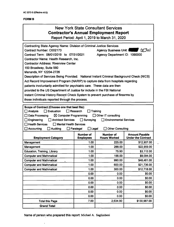## **FORMS**

## New York State Consultant Services **Contractor's Annual Employment Report**

Report Period: April 1, 2019 to March 31, 2020

| <b>Contracting State Agency Name: Division of Criminal Justice Services</b>                                           |                                      |                                         |                                                    |
|-----------------------------------------------------------------------------------------------------------------------|--------------------------------------|-----------------------------------------|----------------------------------------------------|
| Contract Number: C002173                                                                                              |                                      | NJul<br>Agency Business Unit:           |                                                    |
| Contract Term: 08/01/2019 to 07/31/2021                                                                               | Agency Department ID: 1090000        |                                         |                                                    |
| Contractor Name: Health Research, Inc.                                                                                |                                      |                                         |                                                    |
| <b>Contractor Address: Riverview Center</b>                                                                           |                                      |                                         |                                                    |
| 150 Broadway, Suite 560                                                                                               |                                      |                                         |                                                    |
| Menands, NY 12204-2726                                                                                                |                                      |                                         |                                                    |
| Description of Services Being Provided: National Instant Criminal Background Check (NICS)                             |                                      |                                         |                                                    |
| Act Record Improvement Program (NARIP) to capture data from hospitals regarding                                       |                                      |                                         |                                                    |
| patients involuntarily admitted for psychiatric care. These data are then                                             |                                      |                                         |                                                    |
| provided to the US Department of Justice for include in the FBI National                                              |                                      |                                         |                                                    |
| Instant Criminal History Record Check System to prevent purchase of firearms by                                       |                                      |                                         |                                                    |
| those individuals reported through the process.                                                                       |                                      |                                         |                                                    |
|                                                                                                                       |                                      |                                         |                                                    |
| Scope of Contract (Choose one that best fits):<br>$\Box$ Research<br>Training<br><b>Analysis</b><br>$\Box$ Evaluation |                                      |                                         |                                                    |
| Data Processing<br>$\boxtimes$ Computer Programming<br>$\Box$ Other IT consulting                                     |                                      |                                         |                                                    |
| <b>Architect Services</b><br>Surveying<br><b>Environmental Services</b><br>Engineering<br>$\mathsf{L}$                |                                      |                                         |                                                    |
| <b>Mental Health Services</b><br><b>Health Services</b>                                                               |                                      |                                         |                                                    |
|                                                                                                                       |                                      |                                         |                                                    |
| Accounting<br>Auditing                                                                                                | Paralegal<br>$\Box$ Legal            | <b>Other Consulting</b>                 |                                                    |
| <b>Employment Category</b>                                                                                            | <b>Number of</b><br><b>Employees</b> | <b>Number of</b><br><b>Hours Worked</b> | <b>Amount Payable</b><br><b>Under the Contract</b> |
| Management                                                                                                            | 1.00                                 | 225.00                                  | \$12,907.00                                        |
| Management                                                                                                            | 1.00                                 | 288.00                                  | \$22,959.00                                        |
| Education, Training, Library                                                                                          | 1.00                                 | 75.90                                   | \$3,112.00                                         |
| <b>Computer and Mathmatical</b>                                                                                       | 1.00                                 | 156.00                                  | \$9,094.00                                         |
| <b>Computer and Mathmatical</b>                                                                                       | 1.00                                 | 990.00                                  | \$48,461.00                                        |
| <b>Computer and Mathmatical</b>                                                                                       | 1.00                                 | 600.00                                  | \$21,736.00                                        |
| <b>Computer and Mathmatical</b>                                                                                       | 1.00                                 | 300.00                                  | \$12,718.00                                        |
|                                                                                                                       | 0.00                                 | 0.00                                    | \$0.00                                             |
|                                                                                                                       | 0.00                                 | 0.00                                    | \$0.00                                             |
|                                                                                                                       | 0.00                                 | 0.00                                    | \$0.00                                             |
|                                                                                                                       | 0.00                                 | 0.00                                    | \$0.00                                             |
|                                                                                                                       | 0.00                                 | 0.00                                    | \$0.00                                             |
|                                                                                                                       | 0.00                                 | 0.00                                    | \$0.00                                             |
| <b>Total this Page</b>                                                                                                | 7.00                                 | 2,634.90                                | \$130,987.00                                       |

**Name of person who prepared this report: Michael A. Saglimbeni**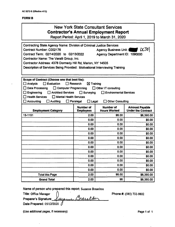#### **FORMB**

| <b>New York State Consultant Services</b><br><b>Contractor's Annual Employment Report</b><br>Report Period: April 1, 2019 to March 31, 2020                                                                                                                                                                                                                                                                                                          |                                      |                                         |                                                    |  |  |
|------------------------------------------------------------------------------------------------------------------------------------------------------------------------------------------------------------------------------------------------------------------------------------------------------------------------------------------------------------------------------------------------------------------------------------------------------|--------------------------------------|-----------------------------------------|----------------------------------------------------|--|--|
| Contracting State Agency Name: Division of Criminal Justice Services<br> XJJ <br>Contract Number: C002176<br><b>Agency Business Unit:</b><br>Contract Term: 02/14/2020 to 02/13/2022<br>Agency Department ID: 1090000<br>Contractor Name: The Varalli Group, Inc.<br>Contractor Address: 4378 Dormedy Hill Rd, Marion, NY 14505<br>Description of Services Being Provided: Motivational Interviewing Training                                        |                                      |                                         |                                                    |  |  |
| Scope of Contract (Choose one that best fits):<br>$\square$ Analysis<br>$\Box$ Evaluation<br>$\Box$ Research<br>$\boxtimes$ Training<br>Data Processing<br>Computer Programming<br>Other IT consulting<br>l 1<br>Engineering<br>Architect Services<br>$\Box$ Surveying<br>Environmental Services<br><b>Health Services</b><br>$\Box$ Mental Health Services<br>Accounting<br>$\Box$ Auditing<br>$\Box$ Paralegal<br>Other Consulting<br>$\Box$ Legal |                                      |                                         |                                                    |  |  |
| <b>Employment Category</b>                                                                                                                                                                                                                                                                                                                                                                                                                           | <b>Number of</b><br><b>Employees</b> | <b>Number of</b><br><b>Hours Worked</b> | <b>Amount Payable</b><br><b>Under the Contract</b> |  |  |
| 13-1151                                                                                                                                                                                                                                                                                                                                                                                                                                              | 2.00                                 | 96.00                                   | \$6,390.00                                         |  |  |
|                                                                                                                                                                                                                                                                                                                                                                                                                                                      | 0.00                                 | 0.00                                    | \$0.00                                             |  |  |
|                                                                                                                                                                                                                                                                                                                                                                                                                                                      | 0.00                                 | 0.00                                    | \$0.00                                             |  |  |
|                                                                                                                                                                                                                                                                                                                                                                                                                                                      | 0.00                                 | 0.00                                    | \$0.00                                             |  |  |
|                                                                                                                                                                                                                                                                                                                                                                                                                                                      | 0.00                                 | 0.00                                    | \$0.00                                             |  |  |
|                                                                                                                                                                                                                                                                                                                                                                                                                                                      | 0.00                                 | 0.00                                    | \$0.00                                             |  |  |
|                                                                                                                                                                                                                                                                                                                                                                                                                                                      | 0.00                                 | 0.00                                    | \$0.00                                             |  |  |
|                                                                                                                                                                                                                                                                                                                                                                                                                                                      | 0.00<br>0.00<br>\$0.00               |                                         |                                                    |  |  |
|                                                                                                                                                                                                                                                                                                                                                                                                                                                      | 0.00                                 | 0.00                                    | \$0.00                                             |  |  |
|                                                                                                                                                                                                                                                                                                                                                                                                                                                      | 0.00                                 | 0.00                                    | \$0.00                                             |  |  |
|                                                                                                                                                                                                                                                                                                                                                                                                                                                      | 0.00                                 | 0.00<br>0.00                            | \$0.00                                             |  |  |
|                                                                                                                                                                                                                                                                                                                                                                                                                                                      | 0.00                                 |                                         | \$0.00<br>\$0.00                                   |  |  |
| <b>Total this Page</b>                                                                                                                                                                                                                                                                                                                                                                                                                               | 0.00<br>0.00<br>96.00<br>2.00        |                                         |                                                    |  |  |
| <b>Grand Total</b>                                                                                                                                                                                                                                                                                                                                                                                                                                   | 2.00                                 | 96                                      | \$6,390.00<br>\$6,390.00                           |  |  |

**Name of person who prepared this report: Suzanne Braselton**

**Title: Office Manager ^ Preparer's Signature:^ Date Prepared: 05/12/2020**

**Phone #: (585) 732-9802**

**(Use additional pages, if necessary) Page <sup>1</sup> of <sup>1</sup>**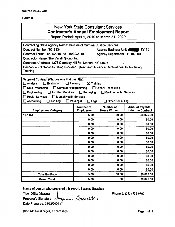## **FORMB**

.

| <b>New York State Consultant Services</b><br><b>Contractor's Annual Employment Report</b><br>Report Period: April 1, 2019 to March 31, 2020                                                                                                                                                                                                                                                                                                                                               |                                        |           |                  |  |  |
|-------------------------------------------------------------------------------------------------------------------------------------------------------------------------------------------------------------------------------------------------------------------------------------------------------------------------------------------------------------------------------------------------------------------------------------------------------------------------------------------|----------------------------------------|-----------|------------------|--|--|
| <b>Contracting State Agency Name: Division of Criminal Justice Services</b><br>$DCJ$ ol<br>Contract Number: T019134<br><b>Agency Business Unit: 4</b><br>Contract Term: 06/01/2019 to 10/30/2019<br>Agency Department ID: 1090000<br>Contractor Name: The Varalli Group, Inc.<br>Contractor Address: 4378 Dormedy Hill Rd, Marion, NY 14505<br>Description of Services Being Provided: Basic and Advanced Motivational Interviewing<br>Training                                           |                                        |           |                  |  |  |
| Scope of Contract (Choose one that best fits):<br>$\Box$ Evaluation<br>$\Box$ Research<br>$\square$ Analysis<br>$\boxtimes$ Training<br>Data Processing<br>$\Box$ Computer Programming<br>$\Box$ Other IT consulting<br>Engineering<br><b>Architect Services</b><br>Surveying<br><b>Environmental Services</b><br>$\mathbf{I}$<br><b>Health Services</b><br>$\Box$ Mental Health Services<br><b>Accounting</b><br>Auditing<br>$\Box$ Paralegal<br>$\Box$ Legal<br><b>Other Consulting</b> |                                        |           |                  |  |  |
| <b>Number of</b><br><b>Number of</b><br><b>Amount Payable</b><br><b>Hours Worked</b><br><b>Under the Contract</b><br><b>Employment Category</b><br><b>Employees</b>                                                                                                                                                                                                                                                                                                                       |                                        |           |                  |  |  |
| 13-1151                                                                                                                                                                                                                                                                                                                                                                                                                                                                                   | 5.00                                   | 80.00     | \$6,075.00       |  |  |
|                                                                                                                                                                                                                                                                                                                                                                                                                                                                                           | 0.00                                   | 0.00      | \$0.00           |  |  |
|                                                                                                                                                                                                                                                                                                                                                                                                                                                                                           | 0.00                                   | 0.00      | \$0.00           |  |  |
|                                                                                                                                                                                                                                                                                                                                                                                                                                                                                           | 0.00                                   | 0.00      | \$0.00           |  |  |
|                                                                                                                                                                                                                                                                                                                                                                                                                                                                                           | 0.00                                   | 0.00      | \$0.00           |  |  |
|                                                                                                                                                                                                                                                                                                                                                                                                                                                                                           | 0.00                                   | ٠<br>0.00 | \$0.00           |  |  |
|                                                                                                                                                                                                                                                                                                                                                                                                                                                                                           | 0.00                                   | 0.00      | \$0.00           |  |  |
|                                                                                                                                                                                                                                                                                                                                                                                                                                                                                           | 0.00<br>0.00<br>\$0.00<br>0.00<br>0.00 |           |                  |  |  |
|                                                                                                                                                                                                                                                                                                                                                                                                                                                                                           | 0.00                                   | 0.00      | \$0.00<br>\$0.00 |  |  |
|                                                                                                                                                                                                                                                                                                                                                                                                                                                                                           | 0.00                                   | 0.00      | \$0.00           |  |  |
|                                                                                                                                                                                                                                                                                                                                                                                                                                                                                           | 0.00                                   | 0.00      | \$0.00           |  |  |
|                                                                                                                                                                                                                                                                                                                                                                                                                                                                                           | 0.00                                   | 0.00      | \$0.00           |  |  |
| <b>Total this Page</b>                                                                                                                                                                                                                                                                                                                                                                                                                                                                    | 5.00                                   | 80.00     | \$6,075.00       |  |  |
| <b>Grand Total</b>                                                                                                                                                                                                                                                                                                                                                                                                                                                                        | 5.00                                   | 80        | \$6,075.00       |  |  |

**Name of person who prepared this report: Suzanne Braselton**

**Title: Office Manager** Brevelton *f* **Preparer's Signature: Date Prepared: 05/12/2020**

**Phone#: (585) 732-9802**

**(Use additional pages, if necessary) Page <sup>1</sup> of <sup>1</sup>**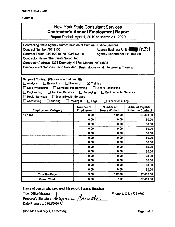## **FORM B**

| <b>New York State Consultant Services</b><br><b>Contractor's Annual Employment Report</b><br>Report Period: April 1, 2019 to March 31, 2020                                                                                                                                                                                                                                                                                                                                            |                                      |                                  |                                                    |  |  |
|----------------------------------------------------------------------------------------------------------------------------------------------------------------------------------------------------------------------------------------------------------------------------------------------------------------------------------------------------------------------------------------------------------------------------------------------------------------------------------------|--------------------------------------|----------------------------------|----------------------------------------------------|--|--|
| Contracting State Agency Name: Division of Criminal Justice Services<br>DCJ01<br>Contract Number: T019135<br>Agency Business Unit:  <br>Contract Term: 04/01/2019 to 03/31/2020<br>Agency Department ID: 1090000<br>Contractor Name: The Varalli Group, Inc.<br>Contractor Address: 4378 Dormedy Hill Rd, Marion, NY 14505<br>Description of Services Being Provided: Basic Motivational Interviewing Training                                                                         |                                      |                                  |                                                    |  |  |
| Scope of Contract (Choose one that best fits):<br>Analysis<br>$\Box$ Evaluation<br>$\Box$ Research<br>$\boxtimes$ Training<br><b>Data Processing</b><br>$\Box$ Computer Programming<br>$\Box$ Other IT consulting<br><b>Engineering</b><br><b>Architect Services</b><br>Surveying<br><b>Environmental Services</b><br>ΙI<br><b>Health Services</b><br>Mental Health Services<br><b>Auditing</b><br><b>Accounting</b><br>$\Box$ Paralegal<br>$\square$ Legal<br><b>Other Consulting</b> |                                      |                                  |                                                    |  |  |
| <b>Employment Category</b>                                                                                                                                                                                                                                                                                                                                                                                                                                                             | <b>Number of</b><br><b>Employees</b> | Number of<br><b>Hours Worked</b> | <b>Amount Payable</b><br><b>Under the Contract</b> |  |  |
| 13-1151                                                                                                                                                                                                                                                                                                                                                                                                                                                                                | 3.00                                 | 112.00                           | \$7,400.00                                         |  |  |
|                                                                                                                                                                                                                                                                                                                                                                                                                                                                                        | 0.00                                 | 0.00                             | \$0.00                                             |  |  |
|                                                                                                                                                                                                                                                                                                                                                                                                                                                                                        | 0.00                                 | 0.00                             | \$0.00                                             |  |  |
|                                                                                                                                                                                                                                                                                                                                                                                                                                                                                        | 0.00                                 | 0.00                             | \$0.00                                             |  |  |
|                                                                                                                                                                                                                                                                                                                                                                                                                                                                                        | 0.00                                 | 0.00                             | \$0.00                                             |  |  |
|                                                                                                                                                                                                                                                                                                                                                                                                                                                                                        | 0.00<br>0.00<br>\$0.00               |                                  |                                                    |  |  |
|                                                                                                                                                                                                                                                                                                                                                                                                                                                                                        | 0.00<br>0.00<br>\$0.00               |                                  |                                                    |  |  |
| 0.00<br>0.00<br>\$0.00<br>0.00<br>0.00<br>\$0.00                                                                                                                                                                                                                                                                                                                                                                                                                                       |                                      |                                  |                                                    |  |  |
|                                                                                                                                                                                                                                                                                                                                                                                                                                                                                        | 0.00                                 | 0.00                             | \$0.00                                             |  |  |
|                                                                                                                                                                                                                                                                                                                                                                                                                                                                                        | 0.00                                 | 0.00                             | \$0.00                                             |  |  |
|                                                                                                                                                                                                                                                                                                                                                                                                                                                                                        | 0.00                                 | 0.00                             | \$0.00                                             |  |  |
|                                                                                                                                                                                                                                                                                                                                                                                                                                                                                        | 0.00                                 | 0.00                             | \$0.00                                             |  |  |
| <b>Total this Page</b>                                                                                                                                                                                                                                                                                                                                                                                                                                                                 | 3.00                                 | 112.00                           | \$7,400.00                                         |  |  |
| <b>Grand Total</b>                                                                                                                                                                                                                                                                                                                                                                                                                                                                     | 3.00                                 | 112                              | \$7,400.00                                         |  |  |

**Name of person who prepared this report: Suzanne Braselton**

**Title: Office Manager** *!* Braceton **Preparer's Signature: Date Prepared: 05/12/2020**

**Phone #: (585) 732-9802**

**(Use additional pages, if necessary) Page <sup>1</sup> of <sup>1</sup>**

٠,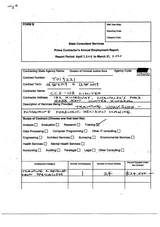| <b>FORM B</b> | $\sim$<br>OSC Use Only:                            |
|---------------|----------------------------------------------------|
|               | <b>Reporting Code:</b>                             |
|               | <b>Category Code:</b>                              |
|               | <b>State Consultant Services</b>                   |
|               | <b>Prime Contractor's Annual Employment Report</b> |
|               | Report Period: April 1, 2019 to March 31, 2020     |

 $\mathbb{Z}^k$ 

| <b>Contracting State Agency Name:</b>                                                       | <b>Division of Criminal Justice Svcs</b> |                         | <b>Agency Code:</b><br>090000               |
|---------------------------------------------------------------------------------------------|------------------------------------------|-------------------------|---------------------------------------------|
| Contract Number: Tol9221                                                                    |                                          |                         |                                             |
| Contract Term: $\sqrt{2}/\sqrt{6}/2019$ to $\sqrt{2}/20/2019$                               |                                          |                         |                                             |
| <b>Contractor Name:</b>                                                                     | $CCL-HQ$ $L M TED$                       |                         |                                             |
| Contractor Address: 132 KINGSWRY, CHANZOLER'S FORD.                                         |                                          | SOSS 52N UNITED KIPGOOM |                                             |
| <b>Description of Services Being Provided:</b>                                              |                                          | TRAINING WORKSHOP -     |                                             |
| ENHAMELING FORENSIC DECISION MIAKING                                                        |                                          |                         |                                             |
| Scope of Contract (Choose one that best fits):                                              |                                          |                         |                                             |
| Analysis $\Box$ Evaluation $\Box$ Research $\Box$ Training $\Box$                           |                                          |                         |                                             |
| Data Processing $\Box$ Computer Programming $\Box$ Other IT consulting $\Box$               |                                          |                         |                                             |
| Engineering $\Box$ Architect Services $\Box$ Surveying $\Box$ Environmental Services $\Box$ |                                          |                         |                                             |
| Health Services $\Box$ Mental Health Services $\Box$                                        |                                          |                         |                                             |
| Accounting $\Box$ Auditing $\Box$ Paralegal $\Box$ Legal $\Box$ Other Consulting $\Box$     |                                          |                         |                                             |
|                                                                                             |                                          |                         |                                             |
| <b>Employment Category</b>                                                                  | <b>Number of Employees</b>               | Number of Hours Worked  | <b>Amount Payable Under</b><br>the Contract |
| TRAINING & DEVELOP-<br>MENT SPECIALISTS                                                     |                                          |                         | 524,500-                                    |
|                                                                                             |                                          |                         |                                             |
|                                                                                             |                                          |                         |                                             |